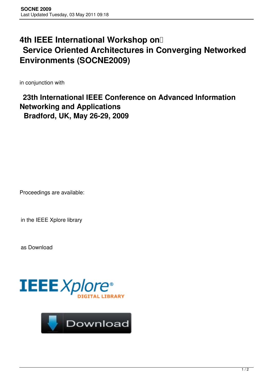## **4th IEEE International Workshop on Service Oriented Architectures in Converging Networked Environments (SOCNE2009)**

in conjunction with

## **23th International IEEE Conference on Advanced Information Networking and Applications Bradford, UK, May 26-29, 2009**

Proceedings are available:

in the IEEE Xplore library

as Download